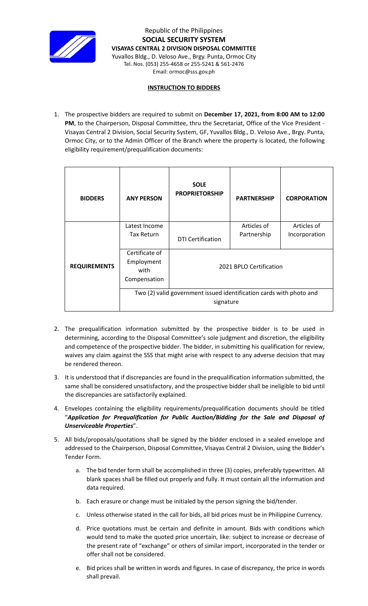

Republic of the Philippines **SOCIAL SECURITY SYSTEM VISAYAS CENTRAL 2 DIVISION DISPOSAL COMMITTEE** Yuvallos Bldg., D. Veloso Ave., Brgy. Punta, Ormoc City Tel. Nos. (053) 255-4658 or 255-5241 & 561-2476 Email: ormoc@sss.gov.ph

## **INSTRUCTION TO BIDDERS**

1. The prospective bidders are required to submit on **December 17, 2021, from 8:00 AM to 12:00**  PM, to the Chairperson, Disposal Committee, thru the Secretariat, Office of the Vice President -Visayas Central 2 Division, Social Security System, GF, Yuvallos Bldg., D. Veloso Ave., Brgy. Punta, Ormoc City, or to the Admin Officer of the Branch where the property is located, the following eligibility requirement/prequalification documents:

| <b>BIDDERS</b>      | <b>ANY PERSON</b>                                                                | <b>SOLE</b><br><b>PROPRIETORSHIP</b> | <b>PARTNERSHIP</b>         | <b>CORPORATION</b>           |
|---------------------|----------------------------------------------------------------------------------|--------------------------------------|----------------------------|------------------------------|
|                     | Latest Income<br><b>Tax Return</b>                                               |                                      | Articles of<br>Partnership | Articles of<br>Incorporation |
|                     |                                                                                  | <b>DTI Certification</b>             |                            |                              |
| <b>REQUIREMENTS</b> | Certificate of<br>Employment<br>with<br>Compensation                             | 2021 BPLO Certification              |                            |                              |
|                     | Two (2) valid government issued identification cards with photo and<br>signature |                                      |                            |                              |

- 2. The prequalification information submitted by the prospective bidder is to be used in determining, according to the Disposal Committee's sole judgment and discretion, the eligibility and competence of the prospective bidder. The bidder, in submitting his qualification for review, waives any claim against the SSS that might arise with respect to any adverse decision that may be rendered thereon.
- 3. It is understood that if discrepancies are found in the prequalification information submitted, the same shall be considered unsatisfactory, and the prospective bidder shall be ineligible to bid until the discrepancies are satisfactorily explained.
- 4. Envelopes containing the eligibility requirements/prequalification documents should be titled "*Application for Prequalification for Public Auction/Bidding for the Sale and Disposal of Unserviceable Properties*".
- 5. All bids/proposals/quotations shall be signed by the bidder enclosed in a sealed envelope and addressed to the Chairperson, Disposal Committee, Visayas Central 2 Division, using the Bidder's Tender Form.
	- a. The bid tender form shall be accomplished in three (3) copies, preferably typewritten. All blank spaces shall be filled out properly and fully. It must contain all the information and data required.
	- b. Each erasure or change must be initialed by the person signing the bid/tender.
	- c. Unless otherwise stated in the call for bids, all bid prices must be in Philippine Currency.
	- d. Price quotations must be certain and definite in amount. Bids with conditions which would tend to make the quoted price uncertain, like: subject to increase or decrease of the present rate of "exchange" or others of similar import, incorporated in the tender or offer shall not be considered.
	- e. Bid prices shall be written in words and figures. In case of discrepancy, the price in words shall prevail.